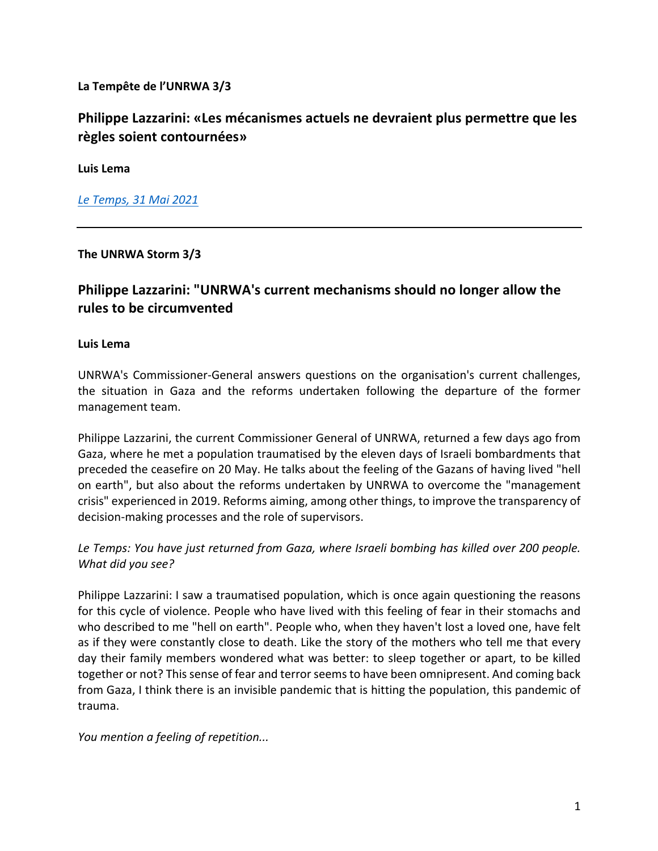**La Tempête de l'UNRWA 3/3**

# **Philippe Lazzarini: «Les mécanismes actuels ne devraient plus permettre que les règles soient contournées»**

**Luis Lema**

*Le Temps, 31 Mai 2021*

**The UNRWA Storm 3/3**

# **Philippe Lazzarini: "UNRWA's current mechanisms should no longer allow the rules to be circumvented**

#### **Luis Lema**

UNRWA's Commissioner-General answers questions on the organisation's current challenges, the situation in Gaza and the reforms undertaken following the departure of the former management team.

Philippe Lazzarini, the current Commissioner General of UNRWA, returned a few days ago from Gaza, where he met a population traumatised by the eleven days of Israeli bombardments that preceded the ceasefire on 20 May. He talks about the feeling of the Gazans of having lived "hell on earth", but also about the reforms undertaken by UNRWA to overcome the "management crisis" experienced in 2019. Reforms aiming, among other things, to improve the transparency of decision-making processes and the role of supervisors.

## *Le Temps: You have just returned from Gaza, where Israeli bombing has killed over 200 people. What did you see?*

Philippe Lazzarini: I saw a traumatised population, which is once again questioning the reasons for this cycle of violence. People who have lived with this feeling of fear in their stomachs and who described to me "hell on earth". People who, when they haven't lost a loved one, have felt as if they were constantly close to death. Like the story of the mothers who tell me that every day their family members wondered what was better: to sleep together or apart, to be killed together or not? This sense of fear and terror seems to have been omnipresent. And coming back from Gaza, I think there is an invisible pandemic that is hitting the population, this pandemic of trauma.

*You mention a feeling of repetition...*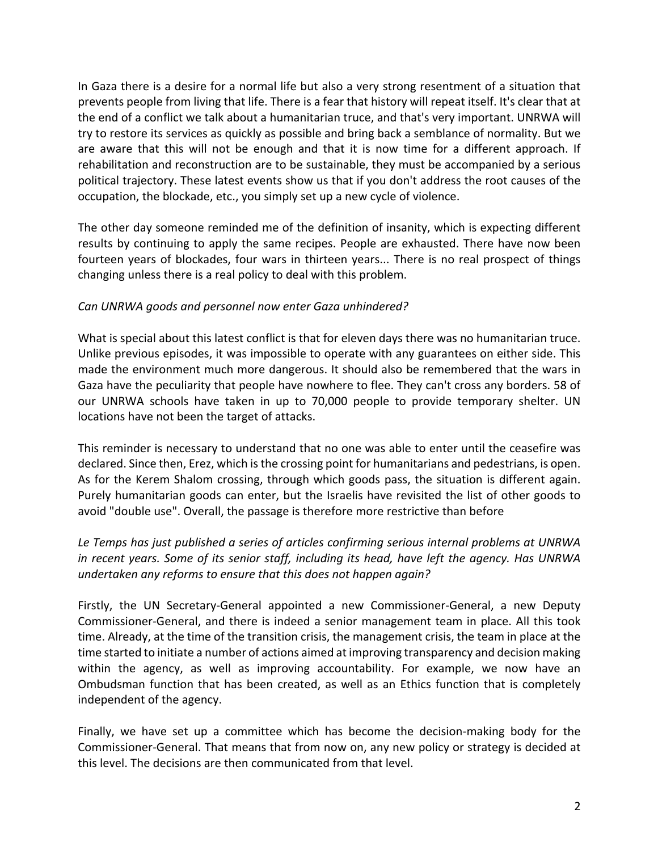In Gaza there is a desire for a normal life but also a very strong resentment of a situation that prevents people from living that life. There is a fear that history will repeat itself. It's clear that at the end of a conflict we talk about a humanitarian truce, and that's very important. UNRWA will try to restore its services as quickly as possible and bring back a semblance of normality. But we are aware that this will not be enough and that it is now time for a different approach. If rehabilitation and reconstruction are to be sustainable, they must be accompanied by a serious political trajectory. These latest events show us that if you don't address the root causes of the occupation, the blockade, etc., you simply set up a new cycle of violence.

The other day someone reminded me of the definition of insanity, which is expecting different results by continuing to apply the same recipes. People are exhausted. There have now been fourteen years of blockades, four wars in thirteen years... There is no real prospect of things changing unless there is a real policy to deal with this problem.

#### *Can UNRWA goods and personnel now enter Gaza unhindered?*

What is special about this latest conflict is that for eleven days there was no humanitarian truce. Unlike previous episodes, it was impossible to operate with any guarantees on either side. This made the environment much more dangerous. It should also be remembered that the wars in Gaza have the peculiarity that people have nowhere to flee. They can't cross any borders. 58 of our UNRWA schools have taken in up to 70,000 people to provide temporary shelter. UN locations have not been the target of attacks.

This reminder is necessary to understand that no one was able to enter until the ceasefire was declared. Since then, Erez, which is the crossing point for humanitarians and pedestrians, is open. As for the Kerem Shalom crossing, through which goods pass, the situation is different again. Purely humanitarian goods can enter, but the Israelis have revisited the list of other goods to avoid "double use". Overall, the passage is therefore more restrictive than before

## *Le Temps has just published a series of articles confirming serious internal problems at UNRWA in recent years. Some of its senior staff, including its head, have left the agency. Has UNRWA undertaken any reforms to ensure that this does not happen again?*

Firstly, the UN Secretary-General appointed a new Commissioner-General, a new Deputy Commissioner-General, and there is indeed a senior management team in place. All this took time. Already, at the time of the transition crisis, the management crisis, the team in place at the time started to initiate a number of actions aimed at improving transparency and decision making within the agency, as well as improving accountability. For example, we now have an Ombudsman function that has been created, as well as an Ethics function that is completely independent of the agency.

Finally, we have set up a committee which has become the decision-making body for the Commissioner-General. That means that from now on, any new policy or strategy is decided at this level. The decisions are then communicated from that level.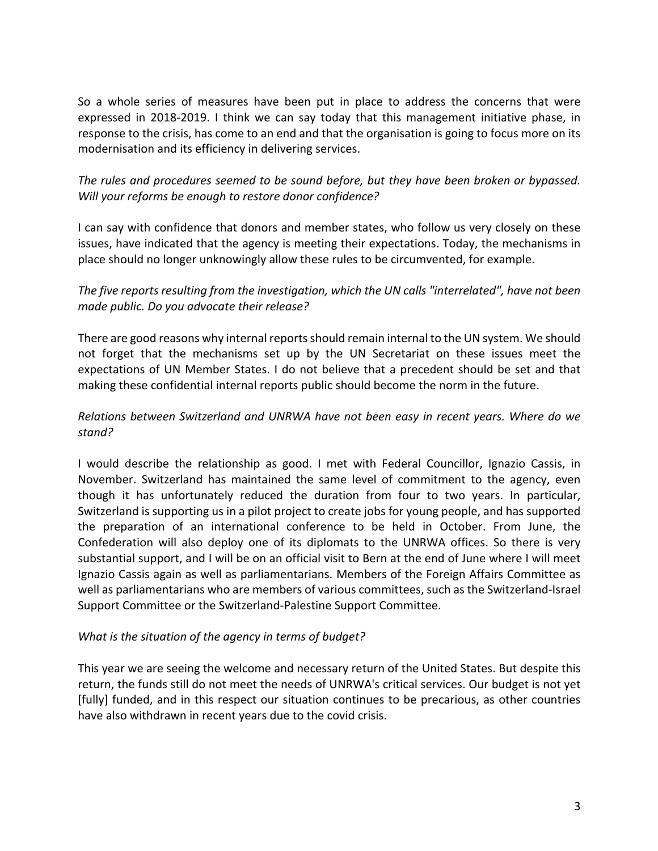So a whole series of measures have been put in place to address the concerns that were expressed in 2018-2019. I think we can say today that this management initiative phase, in response to the crisis, has come to an end and that the organisation is going to focus more on its modernisation and its efficiency in delivering services.

## *The rules and procedures seemed to be sound before, but they have been broken or bypassed. Will your reforms be enough to restore donor confidence?*

I can say with confidence that donors and member states, who follow us very closely on these issues, have indicated that the agency is meeting their expectations. Today, the mechanisms in place should no longer unknowingly allow these rules to be circumvented, for example.

#### *The five reports resulting from the investigation, which the UN calls "interrelated", have not been made public. Do you advocate their release?*

There are good reasons why internal reports should remain internal to the UN system. We should not forget that the mechanisms set up by the UN Secretariat on these issues meet the expectations of UN Member States. I do not believe that a precedent should be set and that making these confidential internal reports public should become the norm in the future.

## *Relations between Switzerland and UNRWA have not been easy in recent years. Where do we stand?*

I would describe the relationship as good. I met with Federal Councillor, Ignazio Cassis, in November. Switzerland has maintained the same level of commitment to the agency, even though it has unfortunately reduced the duration from four to two years. In particular, Switzerland is supporting us in a pilot project to create jobs for young people, and has supported the preparation of an international conference to be held in October. From June, the Confederation will also deploy one of its diplomats to the UNRWA offices. So there is very substantial support, and I will be on an official visit to Bern at the end of June where I will meet Ignazio Cassis again as well as parliamentarians. Members of the Foreign Affairs Committee as well as parliamentarians who are members of various committees, such as the Switzerland-Israel Support Committee or the Switzerland-Palestine Support Committee.

#### *What is the situation of the agency in terms of budget?*

This year we are seeing the welcome and necessary return of the United States. But despite this return, the funds still do not meet the needs of UNRWA's critical services. Our budget is not yet [fully] funded, and in this respect our situation continues to be precarious, as other countries have also withdrawn in recent years due to the covid crisis.